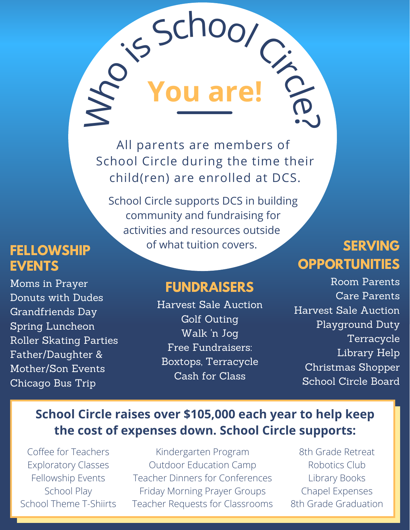All parents are members of School Circle during the time their child(ren) are enrolled at DCS.

Who is School Circle.

**You are!**

School Circle supports DCS in building community and fundraising for activities and resources outside **FELLOWSHIP** of what tuition covers.

## **SERVING OPPORTUNITIES**

### **FUNDRAISERS**

Harvest Sale Auction Golf Outing Walk 'n Jog Free Fundraisers: Boxtops, Terracycle Cash for Class

Room Parents Care Parents Harvest Sale Auction Playground Duty Terracycle Library Help Christmas Shopper School Circle Board

### **School Circle raises over \$105,000 each year to help keep the cost of expenses down. School Circle supports:**

Coffee for Teachers Exploratory Classes Fellowship Events School Play School Theme T-Shiirts

Kindergarten Program Outdoor Education Camp Teacher Dinners for Conferences Friday Morning Prayer Groups Teacher Requests for Classrooms

8th Grade Retreat Robotics Club Library Books Chapel Expenses 8th Grade Graduation

# **EVENTS**

Moms in Prayer Donuts with Dudes Grandfriends Day Spring Luncheon Roller Skating Parties Father/Daughter & Mother/Son Events Chicago Bus Trip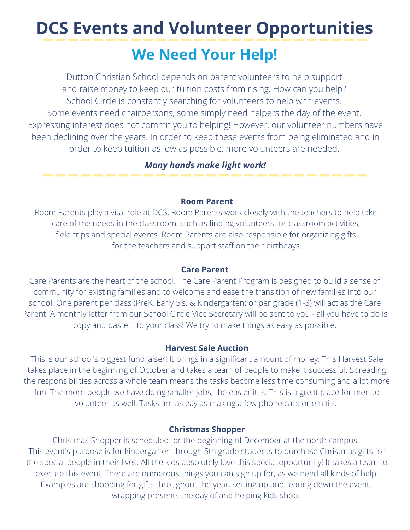## **DCS Events and Volunteer Opportunities**

## **We Need Your Help!**

Dutton Christian School depends on parent volunteers to help support and raise money to keep our tuition costs from rising. How can you help? School Circle is constantly searching for volunteers to help with events. Some events need chairpersons, some simply need helpers the day of the event. Expressing interest does not commit you to helping! However, our volunteer numbers have been declining over the years. In order to keep these events from being eliminated and in order to keep tuition as low as possible, more volunteers are needed.

#### *Many hands make light work!*

#### **Room Parent**

Room Parents play a vital role at DCS. Room Parents work closely with the teachers to help take care of the needs in the classroom, such as finding volunteers for classroom activities, field trips and special events. Room Parents are also responsible for organizing gifts for the teachers and support staff on their birthdays.

#### **Care Parent**

Care Parents are the heart of the school. The Care Parent Program is designed to build a sense of community for existing families and to welcome and ease the transition of new families into our school. One parent per class (PreK, Early 5's, & Kindergarten) or per grade (1-8) will act as the Care Parent. A monthly letter from our School Circle Vice Secretary will be sent to you - all you have to do is copy and paste it to your class! We try to make things as easy as possible.

#### **Harvest Sale Auction**

This is our school's biggest fundraiser! It brings in a significant amount of money. This Harvest Sale takes place in the beginning of October and takes a team of people to make it successful. Spreading the responsibilities across a whole team means the tasks become less time consuming and a lot more fun! The more people we have doing smaller jobs, the easier it is. This is a great place for men to volunteer as well. Tasks are as eay as making a few phone calls or emails.

#### **Christmas Shopper**

Christmas Shopper is scheduled for the beginning of December at the north campus. This event's purpose is for kindergarten through 5th grade students to purchase Christmas gifts for the special people in their lives. All the kids absolutely love this special opportunity! It takes a team to execute this event. There are numerous things you can sign up for, as we need all kinds of help! Examples are shopping for gifts throughout the year, setting up and tearing down the event, wrapping presents the day of and helping kids shop.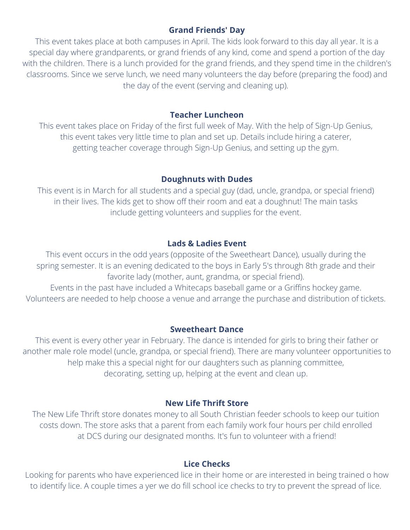#### **Grand Friends' Day**

This event takes place at both campuses in April. The kids look forward to this day all year. It is a special day where grandparents, or grand friends of any kind, come and spend a portion of the day with the children. There is a lunch provided for the grand friends, and they spend time in the children's classrooms. Since we serve lunch, we need many volunteers the day before (preparing the food) and the day of the event (serving and cleaning up).

#### **Teacher Luncheon**

This event takes place on Friday of the first full week of May. With the help of Sign-Up Genius, this event takes very little time to plan and set up. Details include hiring a caterer, getting teacher coverage through Sign-Up Genius, and setting up the gym.

#### **Doughnuts with Dudes**

This event is in March for all students and a special guy (dad, uncle, grandpa, or special friend) in their lives. The kids get to show off their room and eat a doughnut! The main tasks include getting volunteers and supplies for the event.

#### **Lads & Ladies Event**

This event occurs in the odd years (opposite of the Sweetheart Dance), usually during the spring semester. It is an evening dedicated to the boys in Early 5's through 8th grade and their favorite lady (mother, aunt, grandma, or special friend).

Events in the past have included a Whitecaps baseball game or a Griffins hockey game. Volunteers are needed to help choose a venue and arrange the purchase and distribution of tickets.

#### **Sweetheart Dance**

This event is every other year in February. The dance is intended for girls to bring their father or another male role model (uncle, grandpa, or special friend). There are many volunteer opportunities to help make this a special night for our daughters such as planning committee, decorating, setting up, helping at the event and clean up.

#### **New Life Thrift Store**

The New Life Thrift store donates money to all South Christian feeder schools to keep our tuition costs down. The store asks that a parent from each family work four hours per child enrolled at DCS during our designated months. It's fun to volunteer with a friend!

#### **Lice Checks**

Looking for parents who have experienced lice in their home or are interested in being trained o how to identify lice. A couple times a yer we do fill school ice checks to try to prevent the spread of lice.